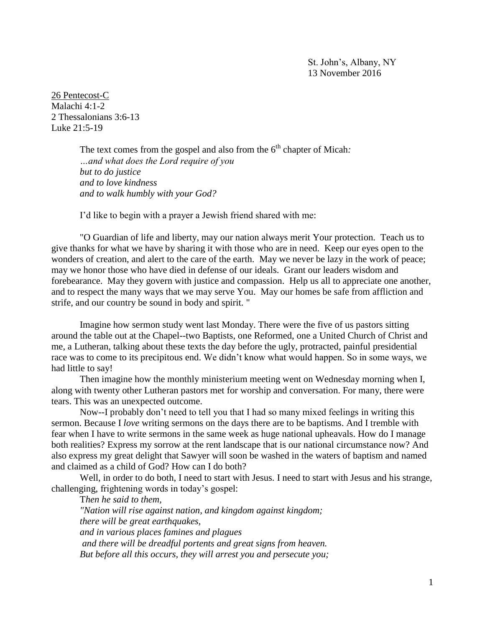St. John's, Albany, NY 13 November 2016

26 Pentecost-C Malachi 4:1-2 2 Thessalonians 3:6-13 Luke 21:5-19

> The text comes from the gospel and also from the 6<sup>th</sup> chapter of Micah: *…and what does the Lord require of you but to do justice and to love kindness and to walk humbly with your God?*

I'd like to begin with a prayer a Jewish friend shared with me:

"O Guardian of life and liberty, may our nation always merit Your protection. Teach us to give thanks for what we have by sharing it with those who are in need. Keep our eyes open to the wonders of creation, and alert to the care of the earth. May we never be lazy in the work of peace; may we honor those who have died in defense of our ideals. Grant our leaders wisdom and forebearance. May they govern with justice and compassion. Help us all to appreciate one another, and to respect the many ways that we may serve You. May our homes be safe from affliction and strife, and our country be sound in body and spirit. "

Imagine how sermon study went last Monday. There were the five of us pastors sitting around the table out at the Chapel--two Baptists, one Reformed, one a United Church of Christ and me, a Lutheran, talking about these texts the day before the ugly, protracted, painful presidential race was to come to its precipitous end. We didn't know what would happen. So in some ways, we had little to say!

Then imagine how the monthly ministerium meeting went on Wednesday morning when I, along with twenty other Lutheran pastors met for worship and conversation. For many, there were tears. This was an unexpected outcome.

Now--I probably don't need to tell you that I had so many mixed feelings in writing this sermon. Because I *love* writing sermons on the days there are to be baptisms. And I tremble with fear when I have to write sermons in the same week as huge national upheavals. How do I manage both realities? Express my sorrow at the rent landscape that is our national circumstance now? And also express my great delight that Sawyer will soon be washed in the waters of baptism and named and claimed as a child of God? How can I do both?

Well, in order to do both, I need to start with Jesus. I need to start with Jesus and his strange, challenging, frightening words in today's gospel:

T*hen he said to them, "Nation will rise against nation, and kingdom against kingdom; there will be great earthquakes,*

*and in various places famines and plagues*

*and there will be dreadful portents and great signs from heaven.*

*But before all this occurs, they will arrest you and persecute you;*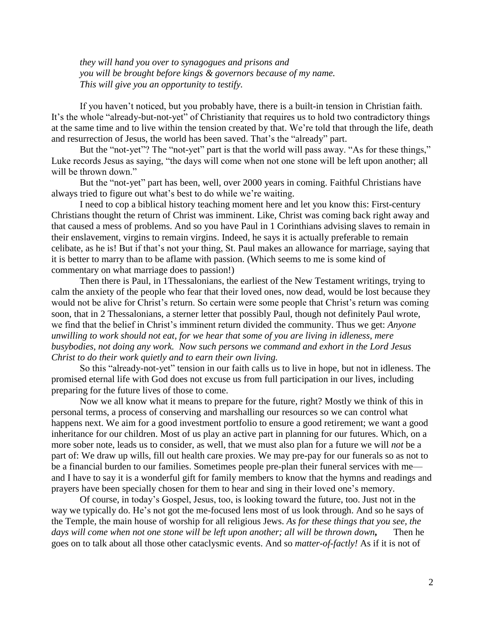*they will hand you over to synagogues and prisons and you will be brought before kings & governors because of my name. This will give you an opportunity to testify.*

If you haven't noticed, but you probably have, there is a built-in tension in Christian faith. It's the whole "already-but-not-yet" of Christianity that requires us to hold two contradictory things at the same time and to live within the tension created by that. We're told that through the life, death and resurrection of Jesus, the world has been saved. That's the "already" part.

But the "not-yet"? The "not-yet" part is that the world will pass away. "As for these things," Luke records Jesus as saying, "the days will come when not one stone will be left upon another; all will be thrown down."

But the "not-yet" part has been, well, over 2000 years in coming. Faithful Christians have always tried to figure out what's best to do while we're waiting.

I need to cop a biblical history teaching moment here and let you know this: First-century Christians thought the return of Christ was imminent. Like, Christ was coming back right away and that caused a mess of problems. And so you have Paul in 1 Corinthians advising slaves to remain in their enslavement, virgins to remain virgins. Indeed, he says it is actually preferable to remain celibate, as he is! But if that's not your thing, St. Paul makes an allowance for marriage, saying that it is better to marry than to be aflame with passion. (Which seems to me is some kind of commentary on what marriage does to passion!)

Then there is Paul, in 1Thessalonians, the earliest of the New Testament writings, trying to calm the anxiety of the people who fear that their loved ones, now dead, would be lost because they would not be alive for Christ's return. So certain were some people that Christ's return was coming soon, that in 2 Thessalonians, a sterner letter that possibly Paul, though not definitely Paul wrote, we find that the belief in Christ's imminent return divided the community. Thus we get: *Anyone unwilling to work should not eat*, *for we hear that some of you are living in idleness, mere busybodies, not doing any work. Now such persons we command and exhort in the Lord Jesus Christ to do their work quietly and to earn their own living.*

So this "already-not-yet" tension in our faith calls us to live in hope, but not in idleness. The promised eternal life with God does not excuse us from full participation in our lives, including preparing for the future lives of those to come.

Now we all know what it means to prepare for the future, right? Mostly we think of this in personal terms, a process of conserving and marshalling our resources so we can control what happens next. We aim for a good investment portfolio to ensure a good retirement; we want a good inheritance for our children. Most of us play an active part in planning for our futures. Which, on a more sober note, leads us to consider, as well, that we must also plan for a future we will *not* be a part of: We draw up wills, fill out health care proxies. We may pre-pay for our funerals so as not to be a financial burden to our families. Sometimes people pre-plan their funeral services with me and I have to say it is a wonderful gift for family members to know that the hymns and readings and prayers have been specially chosen for them to hear and sing in their loved one's memory.

Of course, in today's Gospel, Jesus, too, is looking toward the future, too. Just not in the way we typically do. He's not got the me-focused lens most of us look through. And so he says of the Temple, the main house of worship for all religious Jews. *As for these things that you see, the days will come when not one stone will be left upon another; all will be thrown down,* Then he goes on to talk about all those other cataclysmic events. And so *matter-of-factly!* As if it is not of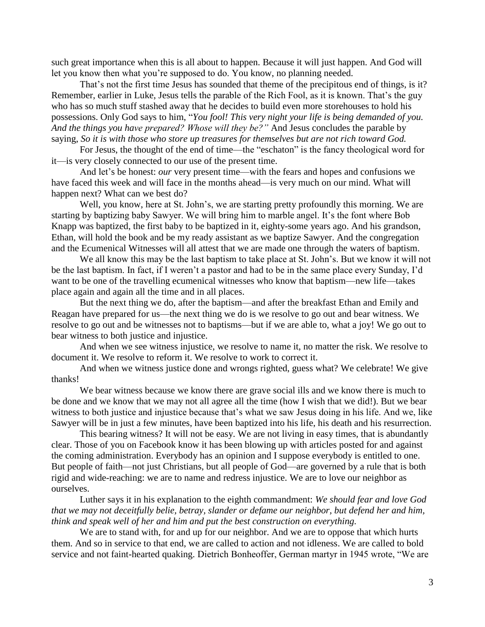such great importance when this is all about to happen. Because it will just happen. And God will let you know then what you're supposed to do. You know, no planning needed.

That's not the first time Jesus has sounded that theme of the precipitous end of things, is it? Remember, earlier in Luke, Jesus tells the parable of the Rich Fool, as it is known. That's the guy who has so much stuff stashed away that he decides to build even more storehouses to hold his possessions. Only God says to him, "*You fool! This very night your life is being demanded of you. And the things you have prepared? Whose will they be?"* And Jesus concludes the parable by saying, *So it is with those who store up treasures for themselves but are not rich toward God.*

For Jesus, the thought of the end of time—the "eschaton" is the fancy theological word for it—is very closely connected to our use of the present time.

And let's be honest: *our* very present time—with the fears and hopes and confusions we have faced this week and will face in the months ahead—is very much on our mind. What will happen next? What can we best do?

Well, you know, here at St. John's, we are starting pretty profoundly this morning. We are starting by baptizing baby Sawyer. We will bring him to marble angel. It's the font where Bob Knapp was baptized, the first baby to be baptized in it, eighty-some years ago. And his grandson, Ethan, will hold the book and be my ready assistant as we baptize Sawyer. And the congregation and the Ecumenical Witnesses will all attest that we are made one through the waters of baptism.

We all know this may be the last baptism to take place at St. John's. But we know it will not be the last baptism. In fact, if I weren't a pastor and had to be in the same place every Sunday, I'd want to be one of the travelling ecumenical witnesses who know that baptism—new life—takes place again and again all the time and in all places.

But the next thing we do, after the baptism—and after the breakfast Ethan and Emily and Reagan have prepared for us—the next thing we do is we resolve to go out and bear witness. We resolve to go out and be witnesses not to baptisms—but if we are able to, what a joy! We go out to bear witness to both justice and injustice.

And when we see witness injustice, we resolve to name it, no matter the risk. We resolve to document it. We resolve to reform it. We resolve to work to correct it.

And when we witness justice done and wrongs righted, guess what? We celebrate! We give thanks!

We bear witness because we know there are grave social ills and we know there is much to be done and we know that we may not all agree all the time (how I wish that we did!). But we bear witness to both justice and injustice because that's what we saw Jesus doing in his life. And we, like Sawyer will be in just a few minutes, have been baptized into his life, his death and his resurrection.

This bearing witness? It will not be easy. We are not living in easy times, that is abundantly clear. Those of you on Facebook know it has been blowing up with articles posted for and against the coming administration. Everybody has an opinion and I suppose everybody is entitled to one. But people of faith—not just Christians, but all people of God—are governed by a rule that is both rigid and wide-reaching: we are to name and redress injustice. We are to love our neighbor as ourselves.

Luther says it in his explanation to the eighth commandment: *We should fear and love God that we may not deceitfully belie, betray, slander or defame our neighbor, but defend her and him, think and speak well of her and him and put the best construction on everything.* 

We are to stand with, for and up for our neighbor. And we are to oppose that which hurts them. And so in service to that end, we are called to action and not idleness. We are called to bold service and not faint-hearted quaking. Dietrich Bonheoffer, German martyr in 1945 wrote, "We are